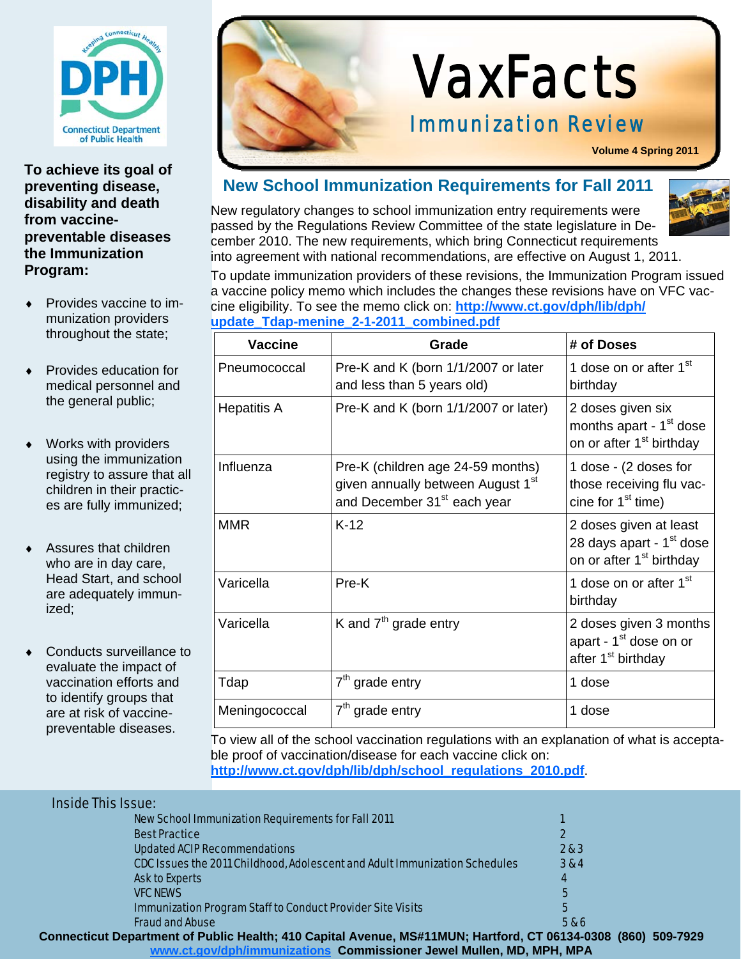

**To achieve its goal of preventing disease, disability and death from vaccinepreventable diseases the Immunization Program:** 

- Provides vaccine to immunization providers throughout the state;
- Provides education for medical personnel and the general public;
- Works with providers using the immunization registry to assure that all children in their practices are fully immunized;
- Assures that children who are in day care, Head Start, and school are adequately immunized;
- Conducts surveillance to evaluate the impact of vaccination efforts and to identify groups that are at risk of vaccinepreventable diseases.



# VaxFacts

#### Immunization Review

**Volume 4 Spring 2011**

#### **New School Immunization Requirements for Fall 2011**

New regulatory changes to school immunization entry requirements were passed by the Regulations Review Committee of the state legislature in December 2010. The new requirements, which bring Connecticut requirements into agreement with national recommendations, are effective on August 1, 2011.

To update immunization providers of these revisions, the Immunization Program issued a vaccine policy memo which includes the changes these revisions have on VFC vaccine eligibility. To see the memo click on: **http://www.ct.gov/dph/lib/dph/ update\_Tdap-menine\_2-1-2011\_combined.pdf**

| <b>Vaccine</b>     | Grade                                                                                                                         | # of Doses                                                                                             |
|--------------------|-------------------------------------------------------------------------------------------------------------------------------|--------------------------------------------------------------------------------------------------------|
| Pneumococcal       | Pre-K and K (born 1/1/2007 or later<br>and less than 5 years old)                                                             | 1 dose on or after 1 <sup>st</sup><br>birthday                                                         |
| <b>Hepatitis A</b> | Pre-K and K (born 1/1/2007 or later)                                                                                          | 2 doses given six<br>months apart - 1 <sup>st</sup> dose<br>on or after 1 <sup>st</sup> birthday       |
| Influenza          | Pre-K (children age 24-59 months)<br>given annually between August 1 <sup>st</sup><br>and December 31 <sup>st</sup> each year | 1 dose - (2 doses for<br>those receiving flu vac-<br>cine for $1st$ time)                              |
| <b>MMR</b>         | $K-12$                                                                                                                        | 2 doses given at least<br>28 days apart - 1 <sup>st</sup> dose<br>on or after 1 <sup>st</sup> birthday |
| Varicella          | $Pre-K$                                                                                                                       | 1 dose on or after 1 <sup>st</sup><br>birthday                                                         |
| Varicella          | K and $7th$ grade entry                                                                                                       | 2 doses given 3 months<br>apart - 1 <sup>st</sup> dose on or<br>after 1 <sup>st</sup> birthday         |
| Tdap               | $7th$ grade entry                                                                                                             | 1 dose                                                                                                 |
| Meningococcal      | $7th$ grade entry                                                                                                             | 1 dose                                                                                                 |

To view all of the school vaccination regulations with an explanation of what is acceptable proof of vaccination/disease for each vaccine click on: **http://www.ct.gov/dph/lib/dph/school\_regulations\_2010.pdf**.

#### Inside This Issue:

| <b>New School Immunization Requirements for Fall 2011</b>                                                     |       |
|---------------------------------------------------------------------------------------------------------------|-------|
| <b>Best Practice</b>                                                                                          |       |
| <b>Updated ACIP Recommendations</b>                                                                           | 2 & 3 |
| CDC Issues the 2011 Childhood, Adolescent and Adult Immunization Schedules                                    | 3 & 4 |
| <b>Ask to Experts</b>                                                                                         | 4     |
| <b>VFC NEWS</b>                                                                                               | 5     |
| <b>Immunization Program Staff to Conduct Provider Site Visits</b>                                             | 5     |
| <b>Fraud and Abuse</b>                                                                                        | 586   |
| Connecticut Department of Public Health; 410 Capital Avenue, MS#11MUN; Hartford, CT 06134-0308 (860) 509-7929 |       |
| www.ct.gov/dph/immunizations Commissioner Jewel Mullen, MD, MPH, MPA                                          |       |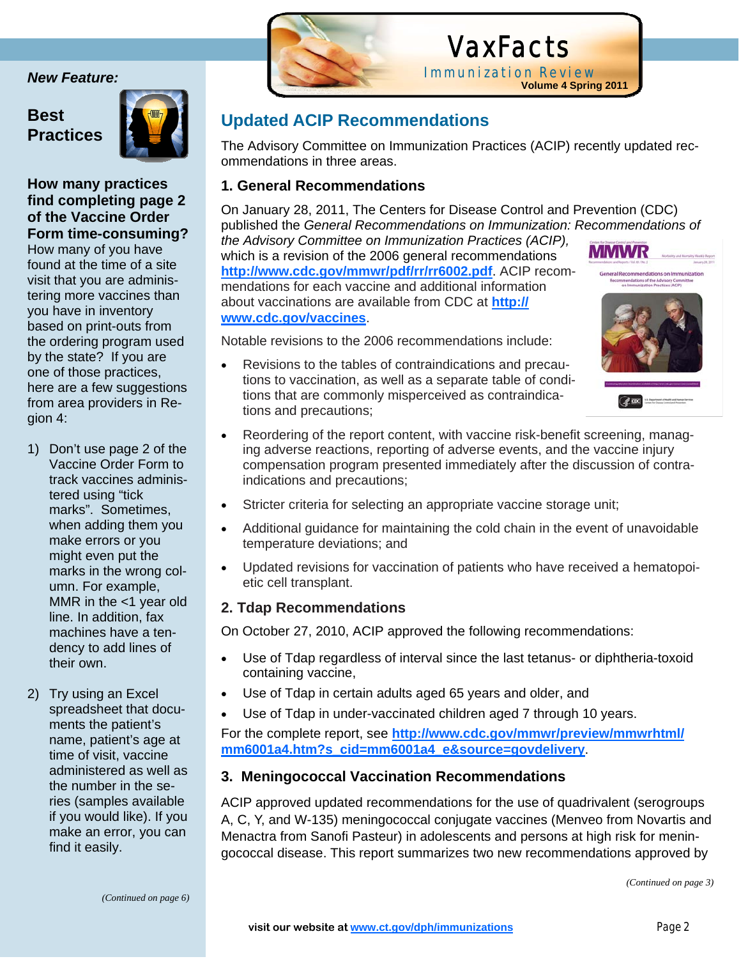#### **Best Practices**



Ĩ

#### **How many practices find completing page 2 of the Vaccine Order Form time-consuming?**

How many of you have found at the time of a site visit that you are administering more vaccines than you have in inventory based on print-outs from the ordering program used by the state? If you are one of those practices, here are a few suggestions from area providers in Region 4:

- 1) Don't use page 2 of the Vaccine Order Form to track vaccines administered using "tick marks". Sometimes, when adding them you make errors or you might even put the marks in the wrong column. For example, MMR in the  $<$ 1 year old line. In addition, fax machines have a tendency to add lines of their own.
- 2) Try using an Excel spreadsheet that documents the patient's name, patient's age at time of visit, vaccine administered as well as the number in the series (samples available if you would like). If you make an error, you can find it easily.



## VaxFacts **Immunization Review**<br>Volume 4 Spring 2011

#### **Updated ACIP Recommendations**

The Advisory Committee on Immunization Practices (ACIP) recently updated recommendations in three areas.

#### **1. General Recommendations**

On January 28, 2011, The Centers for Disease Control and Prevention (CDC) published the *General Recommendations on Immunization: Recommendations of the Advisory Committee on Immunization Practices (ACIP),*  MMWR which is a revision of the 2006 general recommendations **http://www.cdc.gov/mmwr/pdf/rr/rr6002.pdf**. ACIP recomof the Adv mendations for each vaccine and additional information about vaccinations are available from CDC at **http:// www.cdc.gov/vaccines**.

Notable revisions to the 2006 recommendations include:

 Revisions to the tables of contraindications and precautions to vaccination, as well as a separate table of conditions that are commonly misperceived as contraindications and precautions;



- Reordering of the report content, with vaccine risk-benefit screening, managing adverse reactions, reporting of adverse events, and the vaccine injury compensation program presented immediately after the discussion of contraindications and precautions;
- Stricter criteria for selecting an appropriate vaccine storage unit;
- Additional guidance for maintaining the cold chain in the event of unavoidable temperature deviations; and
- Updated revisions for vaccination of patients who have received a hematopoietic cell transplant.

#### **2. Tdap Recommendations**

On October 27, 2010, ACIP approved the following recommendations:

- Use of Tdap regardless of interval since the last tetanus- or diphtheria-toxoid containing vaccine,
- Use of Tdap in certain adults aged 65 years and older, and
- Use of Tdap in under-vaccinated children aged 7 through 10 years.

For the complete report, see **http://www.cdc.gov/mmwr/preview/mmwrhtml/ mm6001a4.htm?s\_cid=mm6001a4\_e&source=govdelivery**.

#### **3. Meningococcal Vaccination Recommendations**

ACIP approved updated recommendations for the use of quadrivalent (serogroups A, C, Y, and W-135) meningococcal conjugate vaccines (Menveo from Novartis and Menactra from Sanofi Pasteur) in adolescents and persons at high risk for meningococcal disease. This report summarizes two new recommendations approved by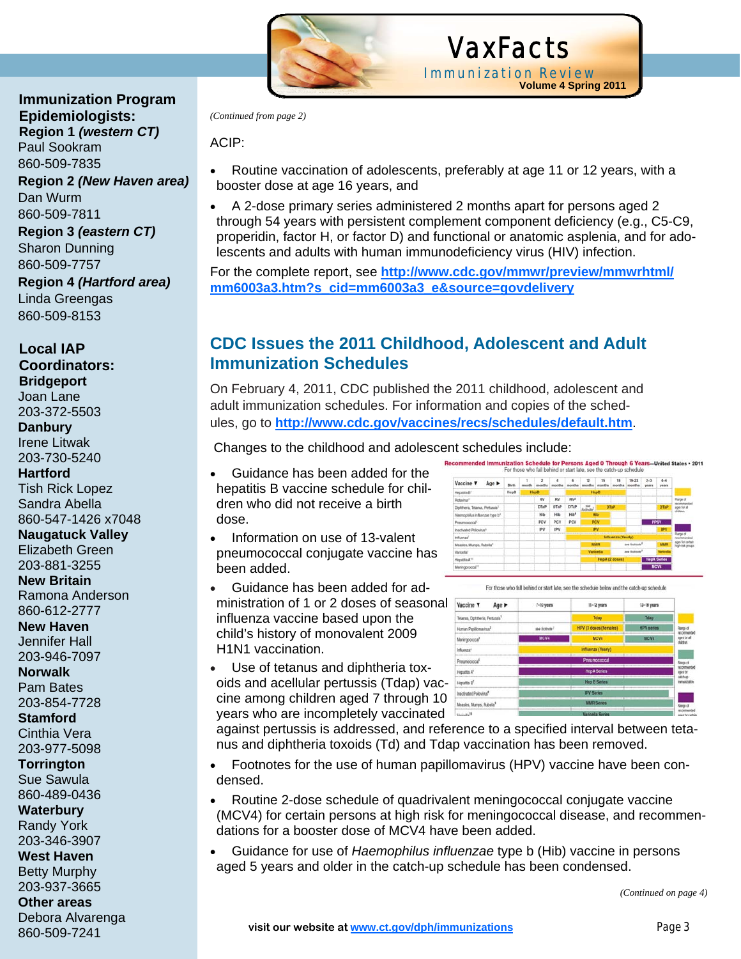

 VaxFacts Immunization Review **Volume 4 Spring 2011**

*(Continued from page 2)* 

ACIP:

- Routine vaccination of adolescents, preferably at age 11 or 12 years, with a booster dose at age 16 years, and
- A 2-dose primary series administered 2 months apart for persons aged 2 through 54 years with persistent complement component deficiency (e.g., C5-C9, properidin, factor H, or factor D) and functional or anatomic asplenia, and for adolescents and adults with human immunodeficiency virus (HIV) infection.

For the complete report, see **http://www.cdc.gov/mmwr/preview/mmwrhtml/ mm6003a3.htm?s\_cid=mm6003a3\_e&source=govdelivery**

#### **CDC Issues the 2011 Childhood, Adolescent and Adult Immunization Schedules**

On February 4, 2011, CDC published the 2011 childhood, adolescent and adult immunization schedules. For information and copies of the schedules, go to **http://www.cdc.gov/vaccines/recs/schedules/default.htm**.

Changes to the childhood and adolescent schedules include:

- Guidance has been added for the hepatitis B vaccine schedule for children who did not receive a birth dose.
- Information on use of 13-valent pneumococcal conjugate vaccine has been added.
- Guidance has been added for administration of 1 or 2 doses of seasonal Vaccine v influenza vaccine based upon the child's history of monovalent 2009 H1N1 vaccination.
- Use of tetanus and diphtheria toxoids and acellular pertussis (Tdap) vaccine among children aged 7 through 10 years who are incompletely vaccinated

nization Schedule for Persons Aged 0 Through 6 Years-United States . 2011<br>For those who fall behind or start late, see the catch-up schedule **Rich**  $\overline{R}$ DTaP DTaP DTaP Hib<br>PCV IPV



against pertussis is addressed, and reference to a specified interval between tetanus and diphtheria toxoids (Td) and Tdap vaccination has been removed.

- Footnotes for the use of human papillomavirus (HPV) vaccine have been condensed.
- Routine 2-dose schedule of quadrivalent meningococcal conjugate vaccine (MCV4) for certain persons at high risk for meningococcal disease, and recommendations for a booster dose of MCV4 have been added.
- Guidance for use of *Haemophilus influenzae* type b (Hib) vaccine in persons aged 5 years and older in the catch-up schedule has been condensed.

 860-509-7811  **Region 3** *(eastern CT)* Sharon Dunning 860-509-7757  **Region 4** *(Hartford area)*

 **Immunization Program** 

**Region 2** *(New Haven area)* 

 **Epidemiologists: Region 1** *(western CT)* 

 Paul Sookram 860-509-7835

Dan Wurm

 Linda Greengas 860-509-8153

 **Local IAP** 

 **Coordinators: Bridgeport**  Joan Lane 203-372-5503  **Danbury**  Irene Litwak 203-730-5240  **Hartford**  Tish Rick Lopez Sandra Abella 860-547-1426 x7048  **Naugatuck Valley**  Elizabeth Green 203-881-3255  **New Britain**  Ramona Anderson 860-612-2777  **New Haven**  Jennifer Hall 203-946-7097  **Norwalk**  Pam Bates 203-854-7728  **Stamford**  Cinthia Vera 203-977-5098

 **Torrington** 

 Sue Sawula 860-489-0436

 **Waterbury** 

 Randy York 203-346-3907

 **West Haven** 

Betty Murphy

203-937-3665

 **Other areas** 

 Debora Alvarenga 860-509-7241

*<sup>(</sup>Continued on page 4)*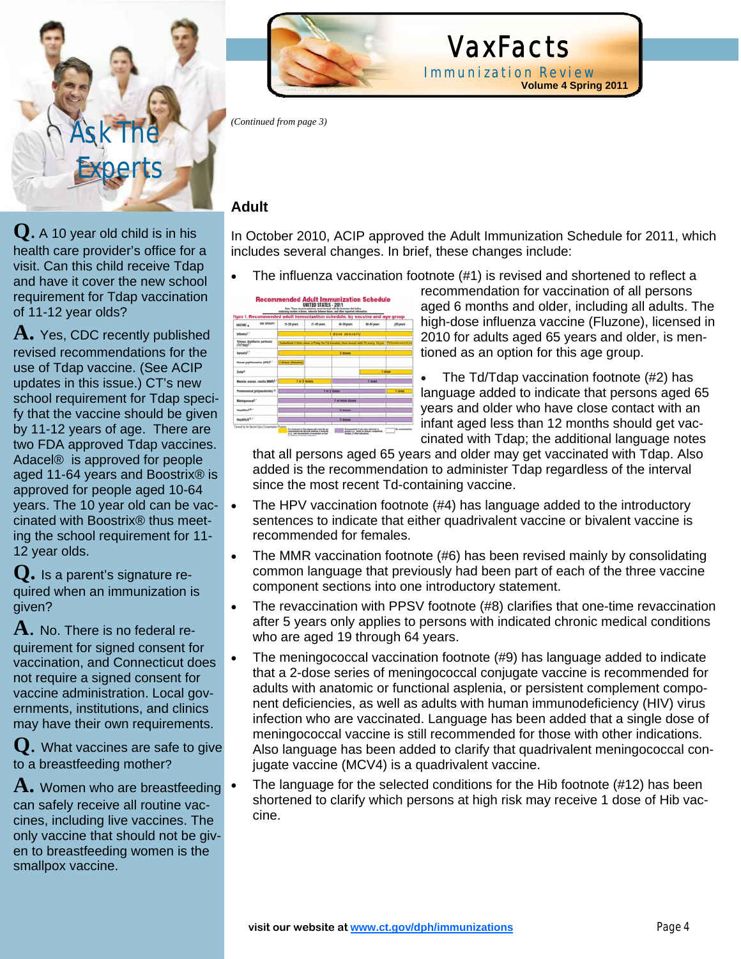

**Q**. A 10 year old child is in his health care provider's office for a visit. Can this child receive Tdap and have it cover the new school requirement for Tdap vaccination of 11-12 year olds?

**A.** Yes, CDC recently published revised recommendations for the use of Tdap vaccine. (See ACIP updates in this issue.) CT's new school requirement for Tdap specify that the vaccine should be given by 11-12 years of age. There are two FDA approved Tdap vaccines. Adacel® is approved for people aged 11-64 years and Boostrix® is approved for people aged 10-64 years. The 10 year old can be vaccinated with Boostrix® thus meeting the school requirement for 11- 12 year olds.

**Q.** Is a parent's signature required when an immunization is given?

**A**. No. There is no federal requirement for signed consent for vaccination, and Connecticut does not require a signed consent for vaccine administration. Local governments, institutions, and clinics may have their own requirements.

**Q**. What vaccines are safe to give to a breastfeeding mother?

**A.** Women who are breastfeeding can safely receive all routine vaccines, including live vaccines. The only vaccine that should not be given to breastfeeding women is the smallpox vaccine.



*(Continued from page 3)* 

#### **Adult**

In October 2010, ACIP approved the Adult Immunization Schedule for 2011, which includes several changes. In brief, these changes include:

VaxFacts

Immunization Review

• The influenza vaccination footnote (#1) is revised and shortened to reflect a

| Figure 1. Recommended adult immunization schedule, by vaccine and age group | Bute These recommendations must be read with the bustostes that follow<br>containing number of diseas, intervals between three, and other important internation. |               |              |                                                                                                          |           |
|-----------------------------------------------------------------------------|------------------------------------------------------------------------------------------------------------------------------------------------------------------|---------------|--------------|----------------------------------------------------------------------------------------------------------|-----------|
| AGE EROUP+<br><b>VACCINE +</b>                                              | 19-25 years                                                                                                                                                      | $27-49$ years | 58-59 years  | <b>80-64 years</b>                                                                                       | 585 years |
| Informati <sup>1</sup>                                                      | 1 does annually                                                                                                                                                  |               |              |                                                                                                          |           |
| Tetanus, diphtheria, perfacula<br>(TATANA <sup>2</sup> )                    |                                                                                                                                                                  |               |              | Substitute 1-lime does of Tdap for Td booster; than boost with Td weary 10 yrs   Td leaster yeary 10 yrs |           |
| <b>Weiterfall</b>                                                           | <b>Z</b> doses                                                                                                                                                   |               |              |                                                                                                          |           |
| <b>Naman popillamentous (HPV)<sup>4</sup>.</b>                              | 3 doses (lemaies)                                                                                                                                                |               |              |                                                                                                          |           |
| <b>Zudan<sup>1</sup></b>                                                    |                                                                                                                                                                  |               |              | 1 does                                                                                                   |           |
| Massier, momes, nebella (MMR)-                                              | 1 or 2 doses.                                                                                                                                                    |               |              | T done                                                                                                   |           |
| Perumicated (polytaccharida) <sup>1,3</sup>                                 |                                                                                                                                                                  |               | 1 or 2 doesn |                                                                                                          | 1 diese   |
| Mashgassscal <sup>4</sup> ."                                                | <b>T or more doesn</b>                                                                                                                                           |               |              |                                                                                                          |           |
| Hepattis A <sup>12.</sup>                                                   | $2$ down                                                                                                                                                         |               |              |                                                                                                          |           |
| Headlin B <sup>11.1</sup>                                                   |                                                                                                                                                                  |               | 3 degas      |                                                                                                          |           |

recommendation for vaccination of all persons aged 6 months and older, including all adults. The high-dose influenza vaccine (Fluzone), licensed in 2010 for adults aged 65 years and older, is mentioned as an option for this age group.

**Volume 4 Spring 2011**

 The Td/Tdap vaccination footnote (#2) has language added to indicate that persons aged 65 years and older who have close contact with an infant aged less than 12 months should get vaccinated with Tdap; the additional language notes

that all persons aged 65 years and older may get vaccinated with Tdap. Also added is the recommendation to administer Tdap regardless of the interval since the most recent Td-containing vaccine.

- The HPV vaccination footnote (#4) has language added to the introductory sentences to indicate that either quadrivalent vaccine or bivalent vaccine is recommended for females.
- The MMR vaccination footnote (#6) has been revised mainly by consolidating common language that previously had been part of each of the three vaccine component sections into one introductory statement.
- The revaccination with PPSV footnote (#8) clarifies that one-time revaccination after 5 years only applies to persons with indicated chronic medical conditions who are aged 19 through 64 years.
- The meningococcal vaccination footnote (#9) has language added to indicate that a 2-dose series of meningococcal conjugate vaccine is recommended for adults with anatomic or functional asplenia, or persistent complement component deficiencies, as well as adults with human immunodeficiency (HIV) virus infection who are vaccinated. Language has been added that a single dose of meningococcal vaccine is still recommended for those with other indications. Also language has been added to clarify that quadrivalent meningococcal conjugate vaccine (MCV4) is a quadrivalent vaccine.
- The language for the selected conditions for the Hib footnote (#12) has been shortened to clarify which persons at high risk may receive 1 dose of Hib vaccine.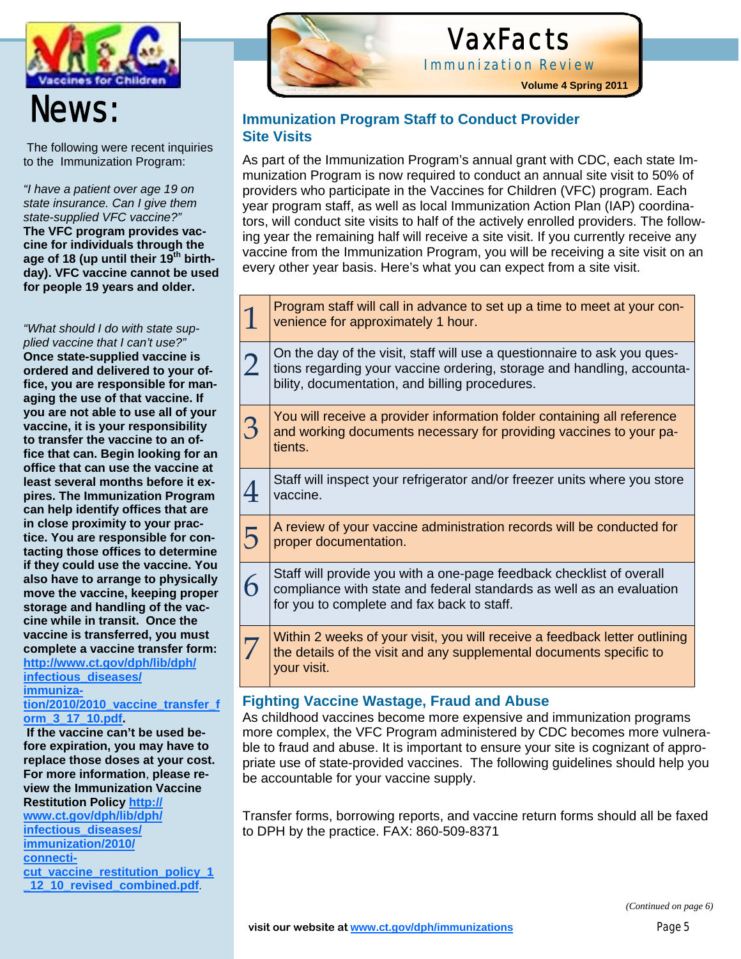

## News:

 The following were recent inquiries to the Immunization Program:

*"I have a patient over age 19 on state insurance. Can I give them state-supplied VFC vaccine?"* **The VFC program provides vaccine for individuals through the age of 18 (up until their 19th birthday). VFC vaccine cannot be used for people 19 years and older.**

*"What should I do with state supplied vaccine that I can't use?"*  **Once state-supplied vaccine is ordered and delivered to your office, you are responsible for managing the use of that vaccine. If you are not able to use all of your vaccine, it is your responsibility to transfer the vaccine to an office that can. Begin looking for an office that can use the vaccine at least several months before it expires. The Immunization Program can help identify offices that are in close proximity to your practice. You are responsible for contacting those offices to determine if they could use the vaccine. You also have to arrange to physically move the vaccine, keeping proper storage and handling of the vaccine while in transit. Once the vaccine is transferred, you must complete a vaccine transfer form:** 

#### **http://www.ct.gov/dph/lib/dph/ infectious\_diseases/ immuniza-**

**tion/2010/2010\_vaccine\_transfer\_f orm\_3\_17\_10.pdf.** 

 **If the vaccine can't be used before expiration, you may have to replace those doses at your cost. For more information**, **please review the Immunization Vaccine Restitution Policy http:// www.ct.gov/dph/lib/dph/ infectious\_diseases/ immunization/2010/ connecticut\_vaccine\_restitution\_policy\_1 \_12\_10\_revised\_combined.pdf**.



## VaxFacts

Immunization Review

**Volume 4 Spring 2011**

#### **Immunization Program Staff to Conduct Provider Site Visits**

As part of the Immunization Program's annual grant with CDC, each state Immunization Program is now required to conduct an annual site visit to 50% of providers who participate in the Vaccines for Children (VFC) program. Each year program staff, as well as local Immunization Action Plan (IAP) coordinators, will conduct site visits to half of the actively enrolled providers. The following year the remaining half will receive a site visit. If you currently receive any vaccine from the Immunization Program, you will be receiving a site visit on an every other year basis. Here's what you can expect from a site visit.

|                | Program staff will call in advance to set up a time to meet at your con-<br>venience for approximately 1 hour.                                                                                       |
|----------------|------------------------------------------------------------------------------------------------------------------------------------------------------------------------------------------------------|
| $\overline{2}$ | On the day of the visit, staff will use a questionnaire to ask you ques-<br>tions regarding your vaccine ordering, storage and handling, accounta-<br>bility, documentation, and billing procedures. |
| 3              | You will receive a provider information folder containing all reference<br>and working documents necessary for providing vaccines to your pa-<br>tients.                                             |
|                | Staff will inspect your refrigerator and/or freezer units where you store<br>vaccine.                                                                                                                |
| 5              | A review of your vaccine administration records will be conducted for<br>proper documentation.                                                                                                       |
| 6              | Staff will provide you with a one-page feedback checklist of overall<br>compliance with state and federal standards as well as an evaluation<br>for you to complete and fax back to staff.           |
| 7              | Within 2 weeks of your visit, you will receive a feedback letter outlining<br>the details of the visit and any supplemental documents specific to<br>your visit.                                     |
|                | $\mathbf{v}$ , and the set of $\mathbf{v}$                                                                                                                                                           |

#### **Fighting Vaccine Wastage, Fraud and Abuse**

As childhood vaccines become more expensive and immunization programs more complex, the VFC Program administered by CDC becomes more vulnerable to fraud and abuse. It is important to ensure your site is cognizant of appropriate use of state-provided vaccines. The following guidelines should help you be accountable for your vaccine supply.

Transfer forms, borrowing reports, and vaccine return forms should all be faxed to DPH by the practice. FAX: 860-509-8371